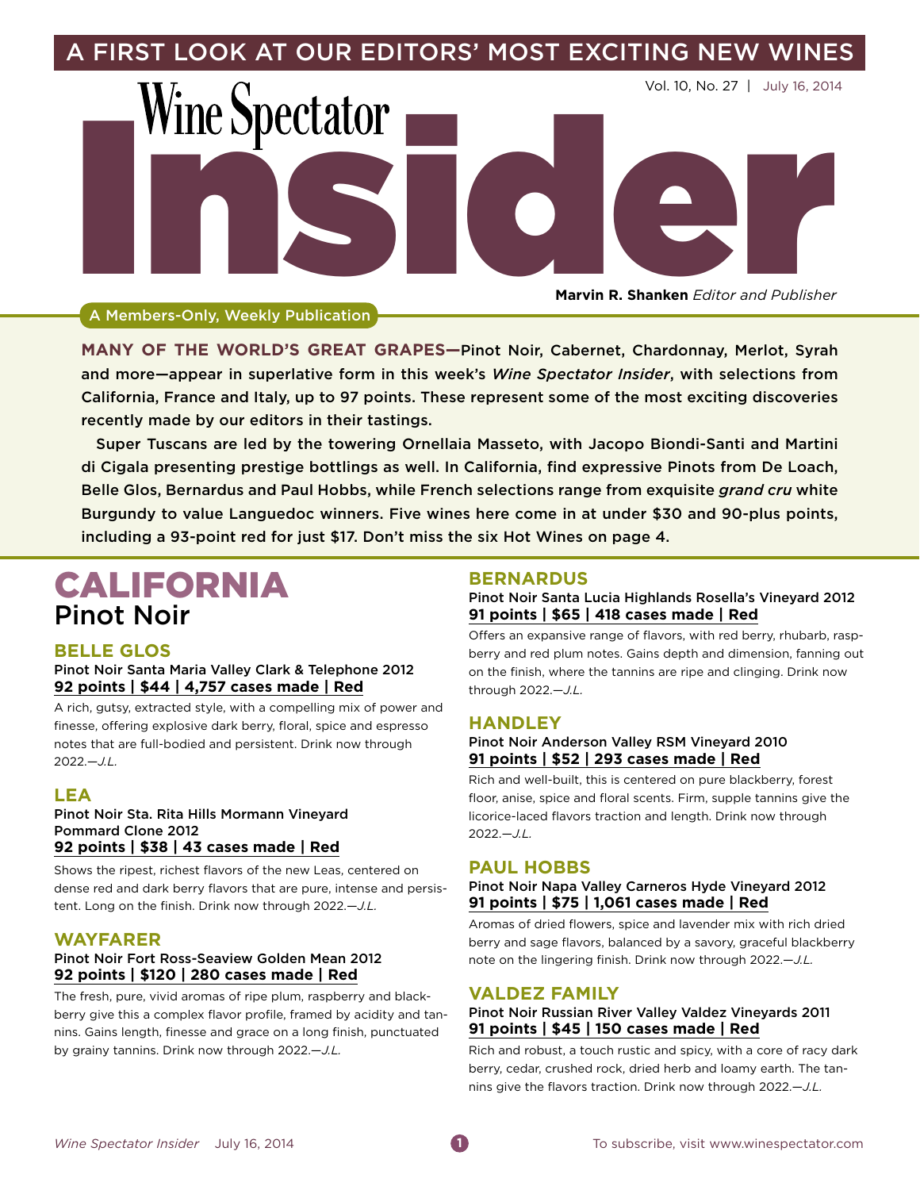

**Marvin R. Shanken** *Editor and Publisher*

A Members-Only, Weekly Publication

**Many of the world's great grapes—**Pinot Noir, Cabernet, Chardonnay, Merlot, Syrah and more—appear in superlative form in this week's *Wine Spectator Insider*, with selections from California, France and Italy, up to 97 points. These represent some of the most exciting discoveries recently made by our editors in their tastings.

Super Tuscans are led by the towering Ornellaia Masseto, with Jacopo Biondi-Santi and Martini di Cigala presenting prestige bottlings as well. In California, find expressive Pinots from De Loach, Belle Glos, Bernardus and Paul Hobbs, while French selections range from exquisite *grand cru* white Burgundy to value Languedoc winners. Five wines here come in at under \$30 and 90-plus points, including a 93-point red for just \$17. Don't miss the six Hot Wines on page 4.

# CALIFORNIA Pinot Noir

# **Belle Glos**

## Pinot Noir Santa Maria Valley Clark & Telephone 2012 **92 points | \$44 | 4,757 cases made | Red**

A rich, gutsy, extracted style, with a compelling mix of power and finesse, offering explosive dark berry, floral, spice and espresso notes that are full-bodied and persistent. Drink now through 2022.—*J.L.*

# **Lea**

#### Pinot Noir Sta. Rita Hills Mormann Vineyard Pommard Clone 2012 **92 points | \$38 | 43 cases made | Red**

Shows the ripest, richest flavors of the new Leas, centered on dense red and dark berry flavors that are pure, intense and persistent. Long on the finish. Drink now through 2022.—*J.L.*

## **Wayfarer**

## Pinot Noir Fort Ross-Seaview Golden Mean 2012 **92 points | \$120 | 280 cases made | Red**

The fresh, pure, vivid aromas of ripe plum, raspberry and blackberry give this a complex flavor profile, framed by acidity and tannins. Gains length, finesse and grace on a long finish, punctuated by grainy tannins. Drink now through 2022.—*J.L.*

# **Bernardus**

Pinot Noir Santa Lucia Highlands Rosella's Vineyard 2012 **91 points | \$65 | 418 cases made | Red**

Offers an expansive range of flavors, with red berry, rhubarb, raspberry and red plum notes. Gains depth and dimension, fanning out on the finish, where the tannins are ripe and clinging. Drink now through 2022.—*J.L.*

## **Handley**

## Pinot Noir Anderson Valley RSM Vineyard 2010 **91 points | \$52 | 293 cases made | Red**

Rich and well-built, this is centered on pure blackberry, forest floor, anise, spice and floral scents. Firm, supple tannins give the licorice-laced flavors traction and length. Drink now through 2022.—*J.L.*

# **Paul Hobbs**

#### Pinot Noir Napa Valley Carneros Hyde Vineyard 2012 **91 points | \$75 | 1,061 cases made | Red**

Aromas of dried flowers, spice and lavender mix with rich dried berry and sage flavors, balanced by a savory, graceful blackberry note on the lingering finish. Drink now through 2022.—*J.L.*

#### **Valdez Family**

#### Pinot Noir Russian River Valley Valdez Vineyards 2011 **91 points | \$45 | 150 cases made | Red**

Rich and robust, a touch rustic and spicy, with a core of racy dark berry, cedar, crushed rock, dried herb and loamy earth. The tannins give the flavors traction. Drink now through 2022.—*J.L.*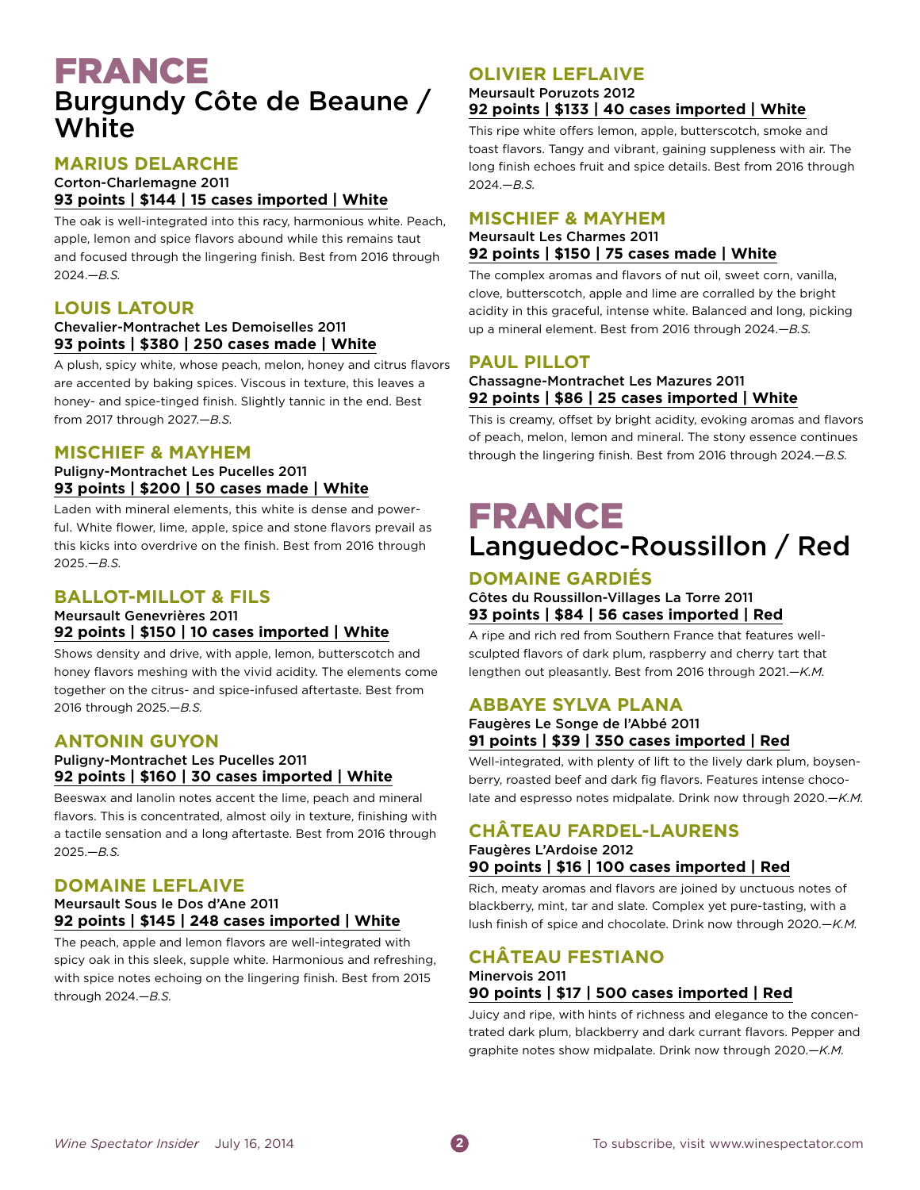# FRANCE Burgundy Côte de Beaune / **White**

# **Marius Delarche**

#### Corton-Charlemagne 2011 **93 points | \$144 | 15 cases imported | White**

The oak is well-integrated into this racy, harmonious white. Peach, apple, lemon and spice flavors abound while this remains taut and focused through the lingering finish. Best from 2016 through 2024.—*B.S.*

# **Louis Latour**

## Chevalier-Montrachet Les Demoiselles 2011 **93 points | \$380 | 250 cases made | White**

A plush, spicy white, whose peach, melon, honey and citrus flavors are accented by baking spices. Viscous in texture, this leaves a honey- and spice-tinged finish. Slightly tannic in the end. Best from 2017 through 2027.—*B.S.*

# **Mischief & Mayhem**

## Puligny-Montrachet Les Pucelles 2011 **93 points | \$200 | 50 cases made | White**

Laden with mineral elements, this white is dense and powerful. White flower, lime, apple, spice and stone flavors prevail as this kicks into overdrive on the finish. Best from 2016 through 2025.—*B.S.*

# **Ballot-Millot & Fils**

#### Meursault Genevrières 2011 **92 points | \$150 | 10 cases imported | White**

Shows density and drive, with apple, lemon, butterscotch and honey flavors meshing with the vivid acidity. The elements come together on the citrus- and spice-infused aftertaste. Best from 2016 through 2025.—*B.S.*

## **Antonin Guyon**

## Puligny-Montrachet Les Pucelles 2011 **92 points | \$160 | 30 cases imported | White**

Beeswax and lanolin notes accent the lime, peach and mineral flavors. This is concentrated, almost oily in texture, finishing with a tactile sensation and a long aftertaste. Best from 2016 through 2025.—*B.S.*

# **Domaine Leflaive**

## Meursault Sous le Dos d'Ane 2011 **92 points | \$145 | 248 cases imported | White**

The peach, apple and lemon flavors are well-integrated with spicy oak in this sleek, supple white. Harmonious and refreshing, with spice notes echoing on the lingering finish. Best from 2015 through 2024.—*B.S.*

# **Olivier Leflaive**

#### Meursault Poruzots 2012 **92 points | \$133 | 40 cases imported | White**

This ripe white offers lemon, apple, butterscotch, smoke and toast flavors. Tangy and vibrant, gaining suppleness with air. The long finish echoes fruit and spice details. Best from 2016 through 2024.—*B.S.*

## **Mischief & Mayhem**

## Meursault Les Charmes 2011 **92 points | \$150 | 75 cases made | White**

The complex aromas and flavors of nut oil, sweet corn, vanilla, clove, butterscotch, apple and lime are corralled by the bright acidity in this graceful, intense white. Balanced and long, picking up a mineral element. Best from 2016 through 2024.—*B.S.*

# **Paul Pillot**

## Chassagne-Montrachet Les Mazures 2011 **92 points | \$86 | 25 cases imported | White**

This is creamy, offset by bright acidity, evoking aromas and flavors of peach, melon, lemon and mineral. The stony essence continues through the lingering finish. Best from 2016 through 2024.—*B.S.*

# FRANCE Languedoc-Roussillon / Red

# **Domaine Gardiés**

Côtes du Roussillon-Villages La Torre 2011 **93 points | \$84 | 56 cases imported | Red**

A ripe and rich red from Southern France that features wellsculpted flavors of dark plum, raspberry and cherry tart that lengthen out pleasantly. Best from 2016 through 2021.—*K.M.*

# **Abbaye Sylva Plana**

#### Faugères Le Songe de l'Abbé 2011 **91 points | \$39 | 350 cases imported | Red**

Well-integrated, with plenty of lift to the lively dark plum, boysenberry, roasted beef and dark fig flavors. Features intense chocolate and espresso notes midpalate. Drink now through 2020.—*K.M.*

# **Château Fardel-Laurens**

## Faugères L'Ardoise 2012 **90 points | \$16 | 100 cases imported | Red**

Rich, meaty aromas and flavors are joined by unctuous notes of blackberry, mint, tar and slate. Complex yet pure-tasting, with a lush finish of spice and chocolate. Drink now through 2020.—*K.M.*

# **Château Festiano**

## Minervois 2011 **90 points | \$17 | 500 cases imported | Red**

Juicy and ripe, with hints of richness and elegance to the concentrated dark plum, blackberry and dark currant flavors. Pepper and graphite notes show midpalate. Drink now through 2020.—*K.M.*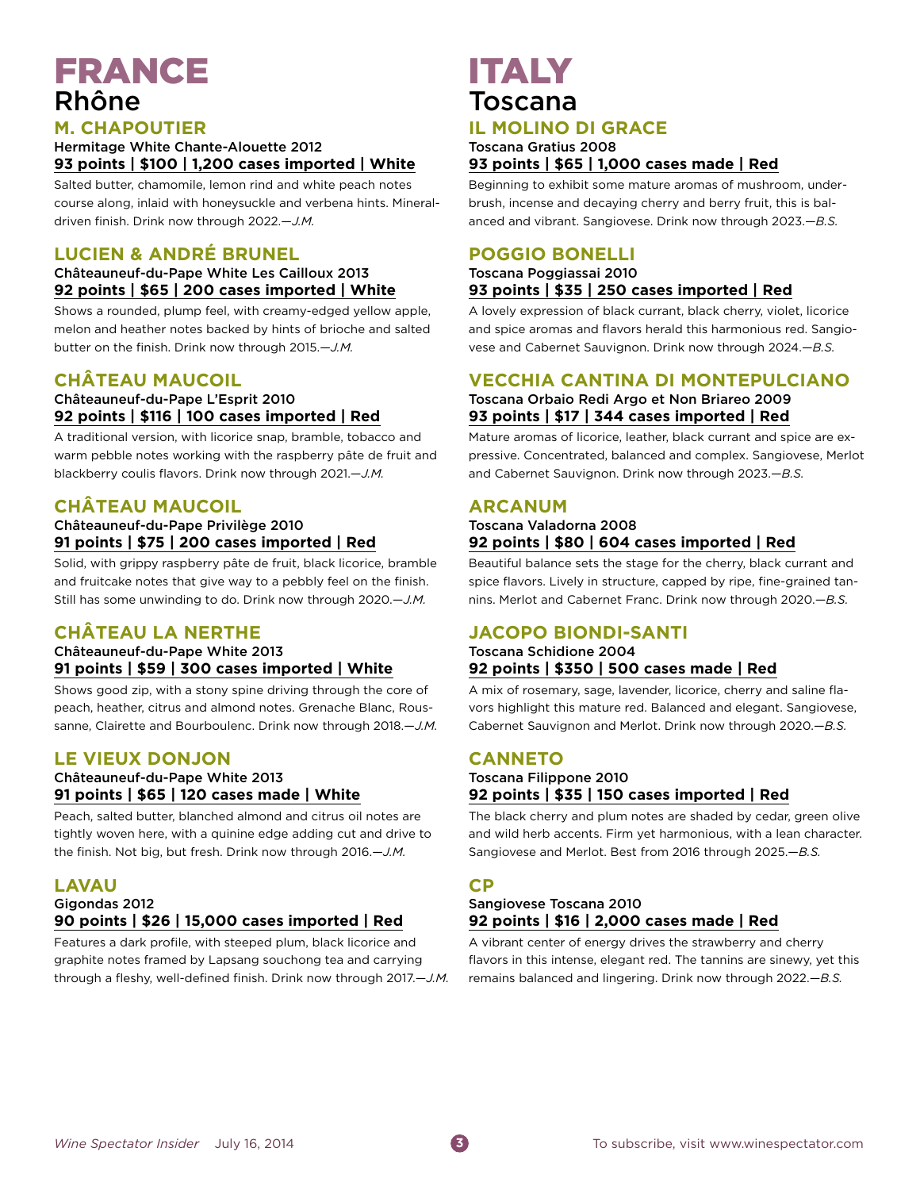# FRANCE Rhône

## **M. Chapoutier**

Hermitage White Chante-Alouette 2012 **93 points | \$100 | 1,200 cases imported | White**

Salted butter, chamomile, lemon rind and white peach notes course along, inlaid with honeysuckle and verbena hints. Mineraldriven finish. Drink now through 2022.—*J.M.*

# **Lucien & André Brunel**

## Châteauneuf-du-Pape White Les Cailloux 2013 **92 points | \$65 | 200 cases imported | White**

Shows a rounded, plump feel, with creamy-edged yellow apple, melon and heather notes backed by hints of brioche and salted butter on the finish. Drink now through 2015.—*J.M.*

# **Château Maucoil**

## Châteauneuf-du-Pape L'Esprit 2010 **92 points | \$116 | 100 cases imported | Red**

A traditional version, with licorice snap, bramble, tobacco and warm pebble notes working with the raspberry pâte de fruit and blackberry coulis flavors. Drink now through 2021.—*J.M.*

# **Château Maucoil**

## Châteauneuf-du-Pape Privilège 2010 **91 points | \$75 | 200 cases imported | Red**

Solid, with grippy raspberry pâte de fruit, black licorice, bramble and fruitcake notes that give way to a pebbly feel on the finish. Still has some unwinding to do. Drink now through 2020.—*J.M.*

# **Château La Nerthe**

## Châteauneuf-du-Pape White 2013 **91 points | \$59 | 300 cases imported | White**

Shows good zip, with a stony spine driving through the core of peach, heather, citrus and almond notes. Grenache Blanc, Roussanne, Clairette and Bourboulenc. Drink now through 2018.—*J.M.*

# **Le Vieux Donjon**

## Châteauneuf-du-Pape White 2013 **91 points | \$65 | 120 cases made | White**

Peach, salted butter, blanched almond and citrus oil notes are tightly woven here, with a quinine edge adding cut and drive to the finish. Not big, but fresh. Drink now through 2016.—*J.M.*

# **Lavau**

#### Gigondas 2012 **90 points | \$26 | 15,000 cases imported | Red**

Features a dark profile, with steeped plum, black licorice and graphite notes framed by Lapsang souchong tea and carrying through a fleshy, well-defined finish. Drink now through 2017.—*J.M.*

# ITALY Toscana

# **Il Molino di Grace**

#### Toscana Gratius 2008 **93 points | \$65 | 1,000 cases made | Red**

Beginning to exhibit some mature aromas of mushroom, underbrush, incense and decaying cherry and berry fruit, this is balanced and vibrant. Sangiovese. Drink now through 2023.—*B.S.*

# **Poggio Bonelli**

#### Toscana Poggiassai 2010 **93 points | \$35 | 250 cases imported | Red**

A lovely expression of black currant, black cherry, violet, licorice and spice aromas and flavors herald this harmonious red. Sangiovese and Cabernet Sauvignon. Drink now through 2024.—*B.S.*

## **Vecchia Cantina di Montepulciano** Toscana Orbaio Redi Argo et Non Briareo 2009 **93 points | \$17 | 344 cases imported | Red**

Mature aromas of licorice, leather, black currant and spice are expressive. Concentrated, balanced and complex. Sangiovese, Merlot and Cabernet Sauvignon. Drink now through 2023.—*B.S.*

# **Arcanum**

## Toscana Valadorna 2008 **92 points | \$80 | 604 cases imported | Red**

Beautiful balance sets the stage for the cherry, black currant and spice flavors. Lively in structure, capped by ripe, fine-grained tannins. Merlot and Cabernet Franc. Drink now through 2020.—*B.S.*

# **Jacopo Biondi-Santi**

## Toscana Schidione 2004 **92 points | \$350 | 500 cases made | Red**

A mix of rosemary, sage, lavender, licorice, cherry and saline flavors highlight this mature red. Balanced and elegant. Sangiovese, Cabernet Sauvignon and Merlot. Drink now through 2020.—*B.S.*

# **Canneto**

## Toscana Filippone 2010 **92 points | \$35 | 150 cases imported | Red**

The black cherry and plum notes are shaded by cedar, green olive and wild herb accents. Firm yet harmonious, with a lean character. Sangiovese and Merlot. Best from 2016 through 2025.—*B.S.*

# **CP**

## Sangiovese Toscana 2010 **92 points | \$16 | 2,000 cases made | Red**

A vibrant center of energy drives the strawberry and cherry flavors in this intense, elegant red. The tannins are sinewy, yet this remains balanced and lingering. Drink now through 2022.—*B.S.*